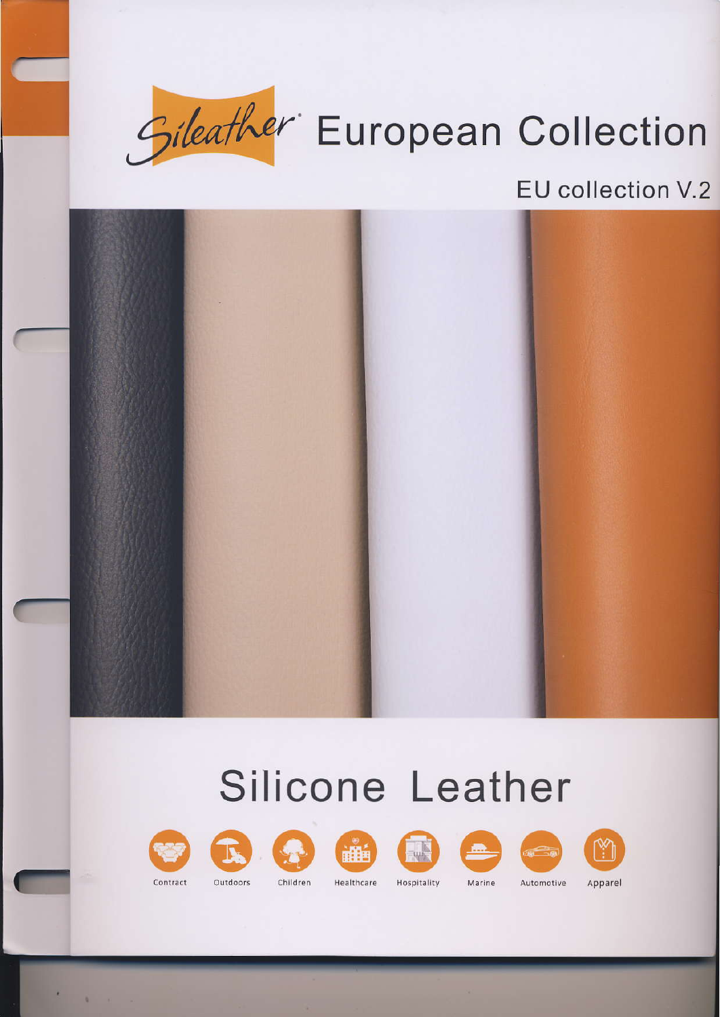

# Gileather European Collection

### EU collection V.2



# **Silicone Leather**



Contract

Outdoors Children











Hospitality

Marine

Automotive

Apparel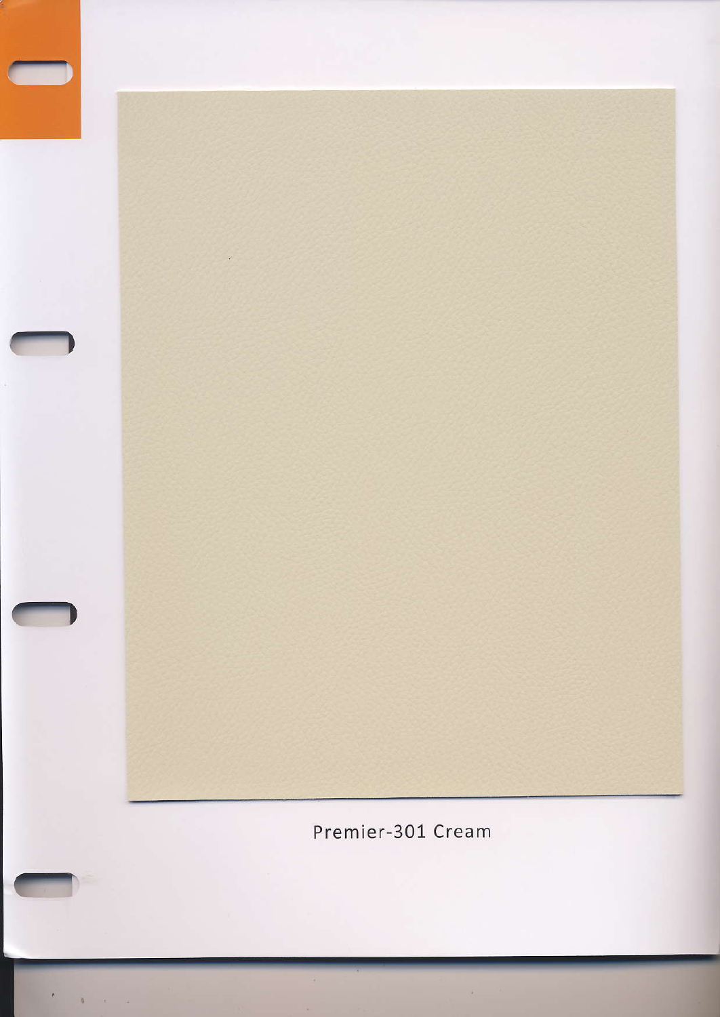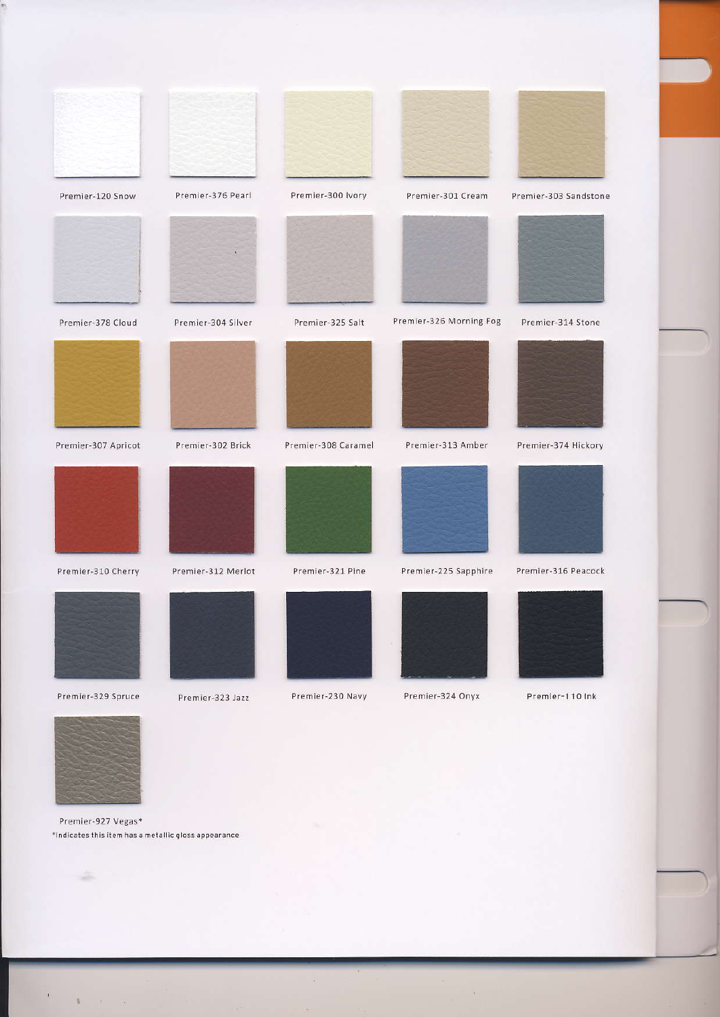



 $\rightarrow$ 

 $\sim 3$  ,  $\sim 3$ 

Premier-927 Vegas\* \*Indicates this item has a metallic gloss appearance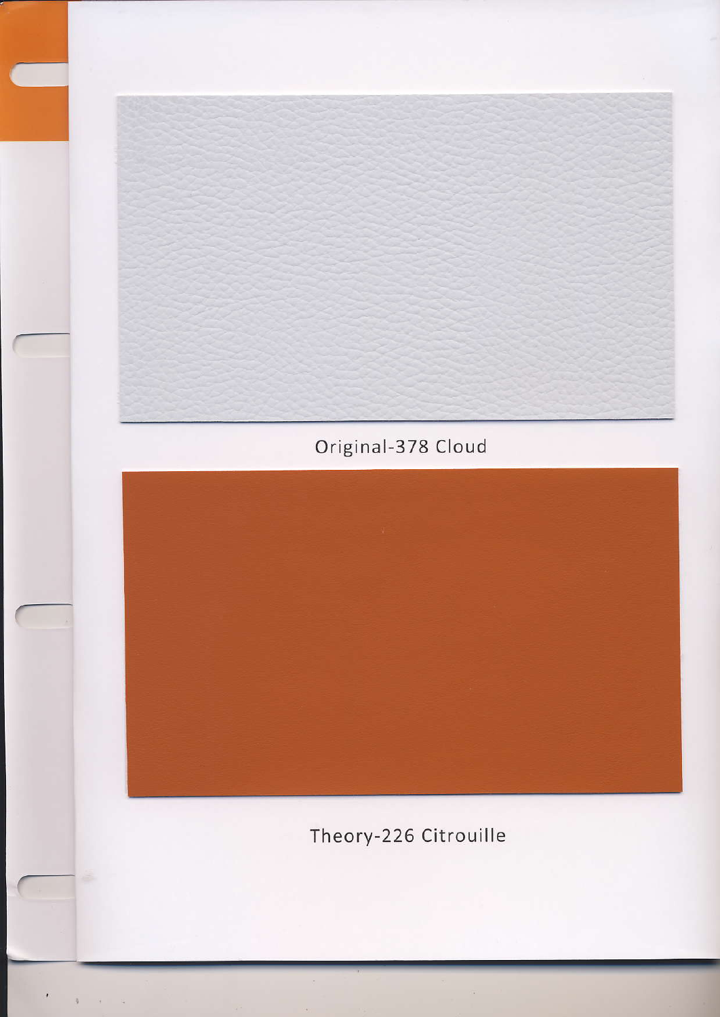Original-378 Cloud



Theory-226 Citrouille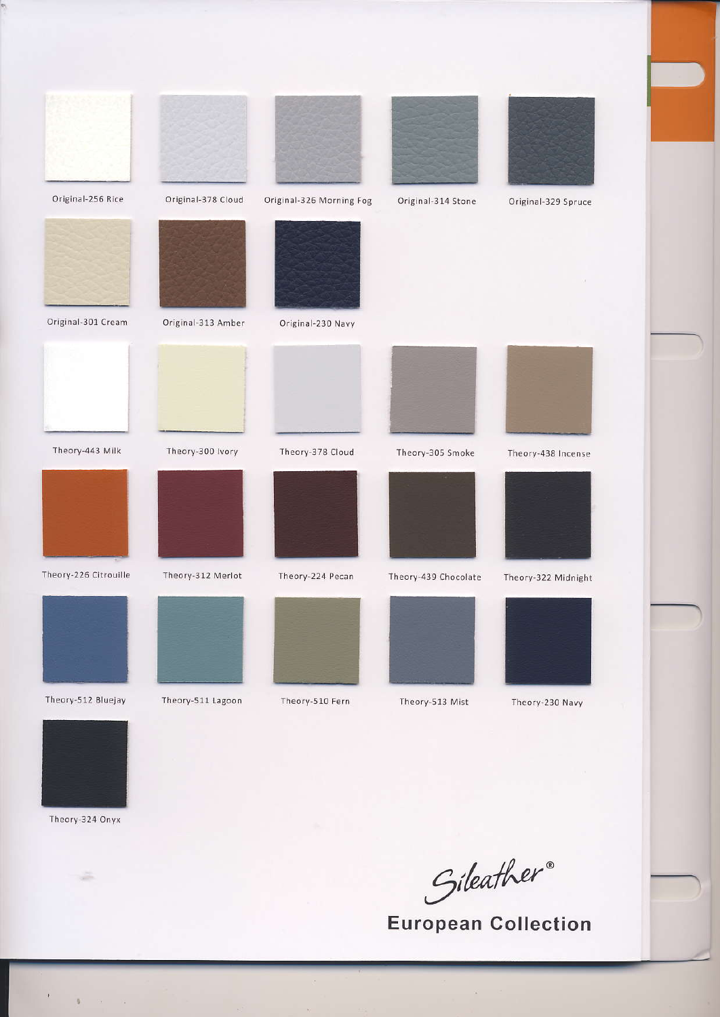| Original-256 Rice     | Original-378 Cloud | Original-326 Morning Fog | Original-314 Stone   | Original-329 Spruce |
|-----------------------|--------------------|--------------------------|----------------------|---------------------|
|                       |                    |                          |                      |                     |
| Original-301 Cream    | Original-313 Amber | Original-230 Navy        |                      |                     |
|                       |                    |                          |                      |                     |
| Theory-443 Milk       | Theory-300 Ivory   | Theory-378 Cloud         | Theory-305 Smoke     | Theory-438 Incense  |
|                       |                    |                          |                      |                     |
| Theory-226 Citrouille | Theory-312 Merlot  | Theory-224 Pecan         | Theory-439 Chocolate | Theory-322 Midnight |
|                       |                    |                          |                      |                     |
| Theory-512 Bluejay    | Theory-511 Lagoon  | Theory-510 Fern          | Theory-513 Mist      | Theory-230 Navy     |



Theory-324 Onyx

÷

4  $\sim 10^{-1}$  $\sim 12$ 

Gileather®<br>European Collection

 $\hat{\boldsymbol{\theta}}$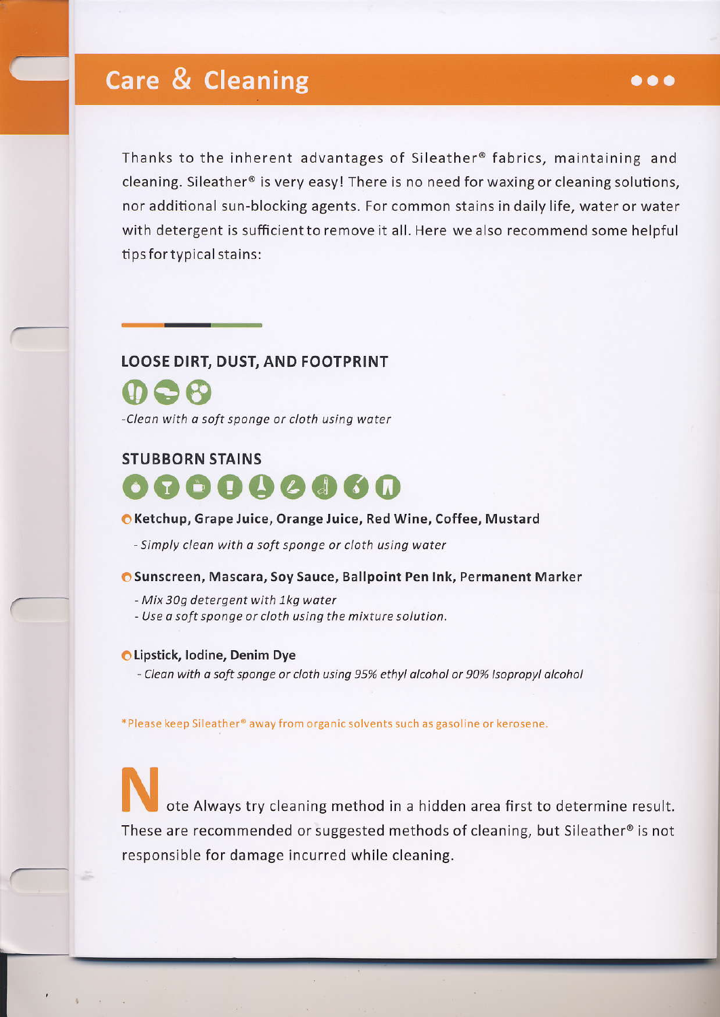## **Care & Cleaning**

Thanks to the inherent advantages of Sileather® fabrics, maintaining and cleaning. Sileather@ is very easyl There is no need for waxing or cleaning solutions, nor additional sun-blocking agents. For common stains in daily life, water or water wlth detergent is sufficient to remove it all. Here we also recommend some helpful tips fortypical stains:

#### LOOSE DIRT, DUST, AND FOOTPRINT

000 -Clean with a soft sponge or cloth using water

#### STUBBORN STAINS



#### O Ketchup, Grape Juice, Orange luice, Red wine, coffee, Mustard

- Simply clean with a soft sponge or cloth using water

#### O Sunscreen, Mascara, Soy Sauce, Ballpoint Pen Ink, Permanent Marker

- Mix 309 detergent with 1kg woter
- Use a soft sponge or cloth using the mixture solution.

#### **OLipstick, lodine, Denim Dye**

- Clean with a soft sponge or cloth using 95% ethyl alcohol or 90% Isopropyl alcohol

\*Please keep Sileather® away from organic solvents such as gasoline or kerosene.

These are recommended or suggested methods of cleaning, but Sileather@ is not responsible for damage incurred while cleaning. ote Always try cleaning method in a hidden area first to determine result.

#### $\bullet\bullet\bullet$